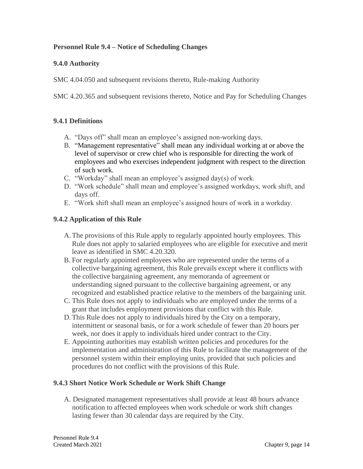# **Personnel Rule 9.4 – Notice of Scheduling Changes**

### **9.4.0 Authority**

SMC 4.04.050 and subsequent revisions thereto, Rule-making Authority

SMC 4.20.365 and subsequent revisions thereto, Notice and Pay for Scheduling Changes

#### **9.4.1 Definitions**

- A. "Days off" shall mean an employee's assigned non-working days.
- B. "Management representative" shall mean any individual working at or above the level of supervisor or crew chief who is responsible for directing the work of employees and who exercises independent judgment with respect to the direction of such work.
- C. "Workday" shall mean an employee's assigned day(s) of work.
- D. "Work schedule" shall mean and employee's assigned workdays, work shift, and days off.
- E. "Work shift shall mean an employee's assigned hours of work in a workday.

# **9.4.2 Application of this Rule**

- A.The provisions of this Rule apply to regularly appointed hourly employees. This Rule does not apply to salaried employees who are eligible for executive and merit leave as identified in SMC 4.20.320.
- B. For regularly appointed employees who are represented under the terms of a collective bargaining agreement, this Rule prevails except where it conflicts with the collective bargaining agreement, any memoranda of agreement or understanding signed pursuant to the collective bargaining agreement, or any recognized and established practice relative to the members of the bargaining unit.
- C. This Rule does not apply to individuals who are employed under the terms of a grant that includes employment provisions that conflict with this Rule.
- D.This Rule does not apply to individuals hired by the City on a temporary, intermittent or seasonal basis, or for a work schedule of fewer than 20 hours per week, nor does it apply to individuals hired under contract to the City.
- E. Appointing authorities may establish written policies and procedures for the implementation and administration of this Rule to facilitate the management of the personnel system within their employing units, provided that such policies and procedures do not conflict with the provisions of this Rule.

#### **9.4.3 Short Notice Work Schedule or Work Shift Change**

A. Designated management representatives shall provide at least 48 hours advance notification to affected employees when work schedule or work shift changes lasting fewer than 30 calendar days are required by the City.